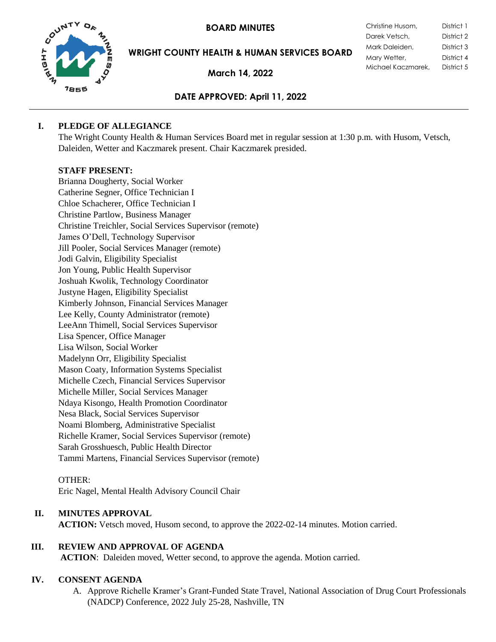**BOARD MINUTES** 



**WRIGHT COUNTY HEALTH & HUMAN SERVICES BOARD**

**March 14, 2022**

| Christine Husom,   | District 1 |
|--------------------|------------|
| Darek Vetsch,      | District 2 |
| Mark Daleiden,     | District 3 |
| Mary Wetter,       | District 4 |
| Michael Kaczmarek, | District 5 |
|                    |            |

# **DATE APPROVED: April 11, 2022**

### **I. PLEDGE OF ALLEGIANCE**

The Wright County Health & Human Services Board met in regular session at 1:30 p.m. with Husom, Vetsch, Daleiden, Wetter and Kaczmarek present. Chair Kaczmarek presided.

### **STAFF PRESENT:**

Brianna Dougherty, Social Worker Catherine Segner, Office Technician I Chloe Schacherer, Office Technician I Christine Partlow, Business Manager Christine Treichler, Social Services Supervisor (remote) James O'Dell, Technology Supervisor Jill Pooler, Social Services Manager (remote) Jodi Galvin, Eligibility Specialist Jon Young, Public Health Supervisor Joshuah Kwolik, Technology Coordinator Justyne Hagen, Eligibility Specialist Kimberly Johnson, Financial Services Manager Lee Kelly, County Administrator (remote) LeeAnn Thimell, Social Services Supervisor Lisa Spencer, Office Manager Lisa Wilson, Social Worker Madelynn Orr, Eligibility Specialist Mason Coaty, Information Systems Specialist Michelle Czech, Financial Services Supervisor Michelle Miller, Social Services Manager Ndaya Kisongo, Health Promotion Coordinator Nesa Black, Social Services Supervisor Noami Blomberg, Administrative Specialist Richelle Kramer, Social Services Supervisor (remote) Sarah Grosshuesch, Public Health Director Tammi Martens, Financial Services Supervisor (remote)

### OTHER:

Eric Nagel, Mental Health Advisory Council Chair

## **II. MINUTES APPROVAL**

**ACTION:** Vetsch moved, Husom second, to approve the 2022-02-14 minutes. Motion carried.

## **III. REVIEW AND APPROVAL OF AGENDA**

**ACTION**: Daleiden moved, Wetter second, to approve the agenda. Motion carried.

## **IV. CONSENT AGENDA**

A. Approve Richelle Kramer's Grant-Funded State Travel, National Association of Drug Court Professionals (NADCP) Conference, 2022 July 25-28, Nashville, TN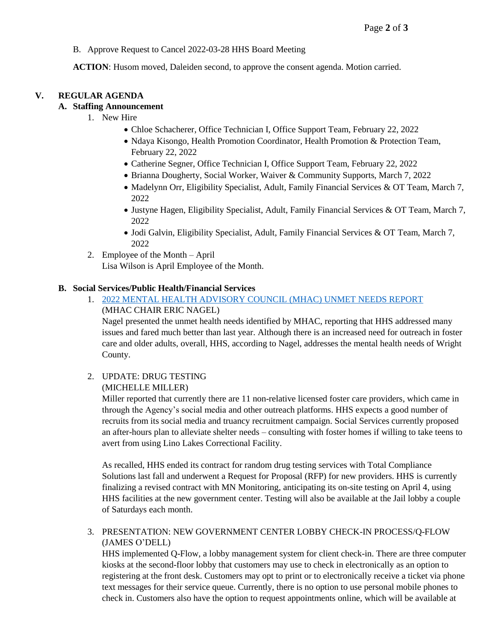B. Approve Request to Cancel 2022-03-28 HHS Board Meeting

**ACTION**: Husom moved, Daleiden second, to approve the consent agenda. Motion carried.

### **V. REGULAR AGENDA**

### **A. Staffing Announcement**

- 1. New Hire
	- Chloe Schacherer, Office Technician I, Office Support Team, February 22, 2022
	- Ndaya Kisongo, Health Promotion Coordinator, Health Promotion & Protection Team, February 22, 2022
	- Catherine Segner, Office Technician I, Office Support Team, February 22, 2022
	- Brianna Dougherty, Social Worker, Waiver & Community Supports, March 7, 2022
	- Madelynn Orr, Eligibility Specialist, Adult, Family Financial Services & OT Team, March 7, 2022
	- Justyne Hagen, Eligibility Specialist, Adult, Family Financial Services & OT Team, March 7, 2022
	- Jodi Galvin, Eligibility Specialist, Adult, Family Financial Services & OT Team, March 7, 2022
- 2. Employee of the Month April Lisa Wilson is April Employee of the Month.

#### **B. Social Services/Public Health/Financial Services**

1. [2022 MENTAL HEALTH ADVISORY COUNCIL \(MHAC\) UNMET NEEDS REPORT](https://www.co.wright.mn.us/AgendaCenter/ViewFile/Item/10433?fileID=22720) (MHAC CHAIR ERIC NAGEL)

Nagel presented the unmet health needs identified by MHAC, reporting that HHS addressed many issues and fared much better than last year. Although there is an increased need for outreach in foster care and older adults, overall, HHS, according to Nagel, addresses the mental health needs of Wright County.

2. UPDATE: DRUG TESTING

### (MICHELLE MILLER)

Miller reported that currently there are 11 non-relative licensed foster care providers, which came in through the Agency's social media and other outreach platforms. HHS expects a good number of recruits from its social media and truancy recruitment campaign. Social Services currently proposed an after-hours plan to alleviate shelter needs – consulting with foster homes if willing to take teens to avert from using Lino Lakes Correctional Facility.

As recalled, HHS ended its contract for random drug testing services with Total Compliance Solutions last fall and underwent a Request for Proposal (RFP) for new providers. HHS is currently finalizing a revised contract with MN Monitoring, anticipating its on-site testing on April 4, using HHS facilities at the new government center. Testing will also be available at the Jail lobby a couple of Saturdays each month.

### 3. PRESENTATION: NEW GOVERNMENT CENTER LOBBY CHECK-IN PROCESS/Q-FLOW (JAMES O'DELL)

HHS implemented Q-Flow, a lobby management system for client check-in. There are three computer kiosks at the second-floor lobby that customers may use to check in electronically as an option to registering at the front desk. Customers may opt to print or to electronically receive a ticket via phone text messages for their service queue. Currently, there is no option to use personal mobile phones to check in. Customers also have the option to request appointments online, which will be available at